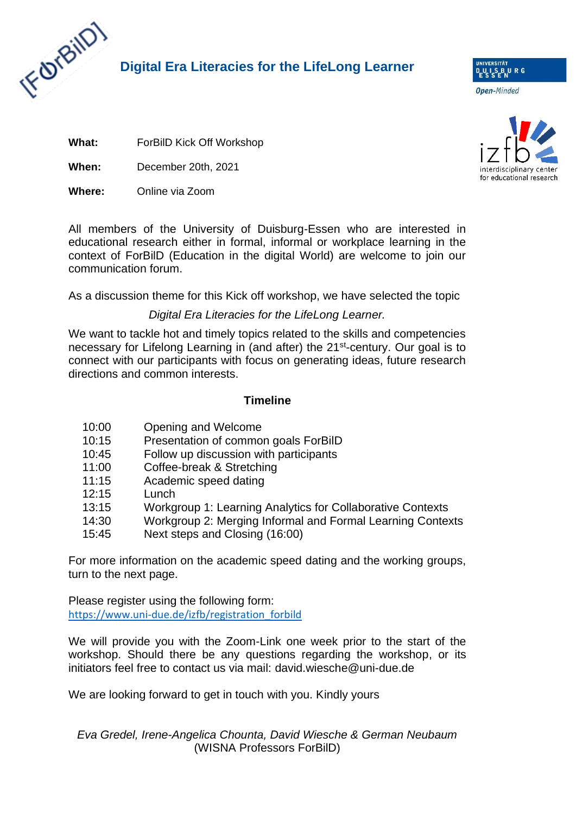

## **Digital Era Literacies for the LifeLong Learner**

**Open-Minded** 

D<sub>E</sub>U<sub>S</sub>IS BURG

**What:** ForBilD Kick Off Workshop

**When:** December 20th, 2021

**Where:** Online via Zoom

All members of the University of Duisburg-Essen who are interested in educational research either in formal, informal or workplace learning in the context of ForBilD (Education in the digital World) are welcome to join our communication forum.

As a discussion theme for this Kick off workshop, we have selected the topic

### *Digital Era Literacies for the LifeLong Learner.*

We want to tackle hot and timely topics related to the skills and competencies necessary for Lifelong Learning in (and after) the 21<sup>st</sup>-century. Our goal is to connect with our participants with focus on generating ideas, future research directions and common interests.

#### **Timeline**

- 10:00 Opening and Welcome
- 10:15 Presentation of common goals ForBilD
- 10:45 Follow up discussion with participants
- 11:00 Coffee-break & Stretching
- 11:15 Academic speed dating
- 12:15 Lunch
- 13:15 Workgroup 1: Learning Analytics for Collaborative Contexts
- 14:30 Workgroup 2: Merging Informal and Formal Learning Contexts
- 15:45 Next steps and Closing (16:00)

For more information on the academic speed dating and the working groups, turn to the next page.

Please register using the following form: [https://www.uni-due.de/izfb/registration\\_forbild](https://www.uni-due.de/izfb/registration_forbild)

We will provide you with the Zoom-Link one week prior to the start of the workshop. Should there be any questions regarding the workshop, or its initiators feel free to contact us via mail: david.wiesche@uni-due.de

We are looking forward to get in touch with you. Kindly yours

### *Eva Gredel, Irene-Angelica Chounta, David Wiesche & German Neubaum* (WISNA Professors ForBilD)